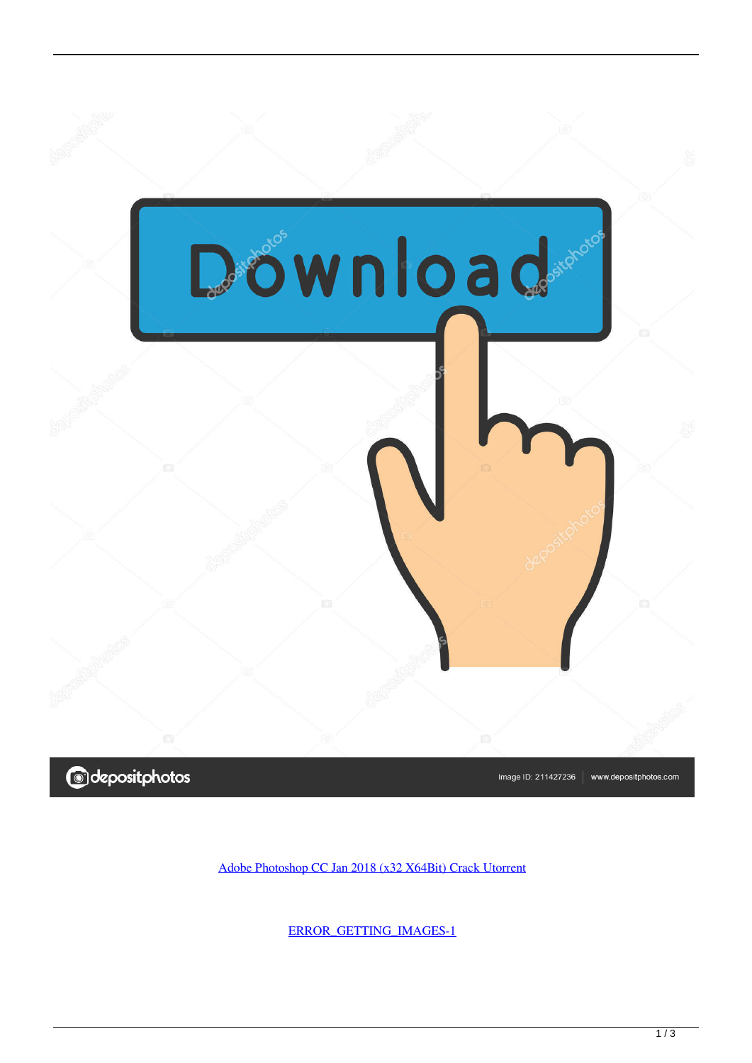



Image ID: 211427236 www.depositphotos.com

[Adobe Photoshop CC Jan 2018 \(x32 X64Bit\) Crack Utorrent](http://bytlly.com/17xgox)

[ERROR\\_GETTING\\_IMAGES-1](http://bytlly.com/17xgox)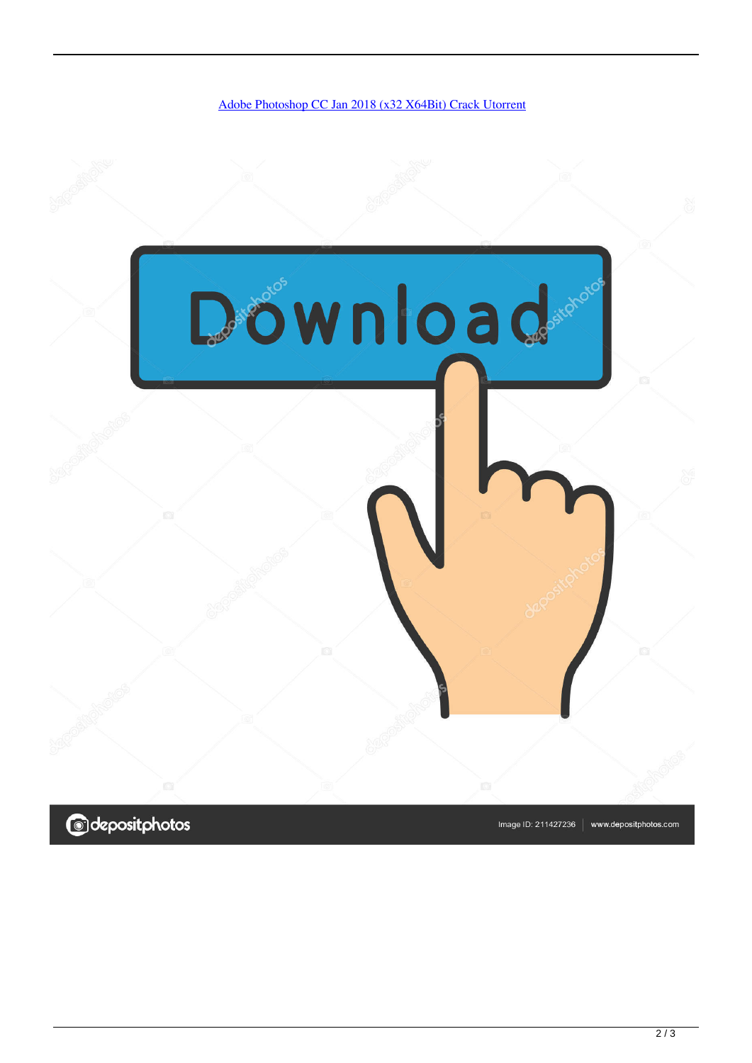## [Adobe Photoshop CC Jan 2018 \(x32 X64Bit\) Crack Utorrent](http://bytlly.com/17xgox)



**@depositphotos** 

Image ID: 211427236 www.depositphotos.com